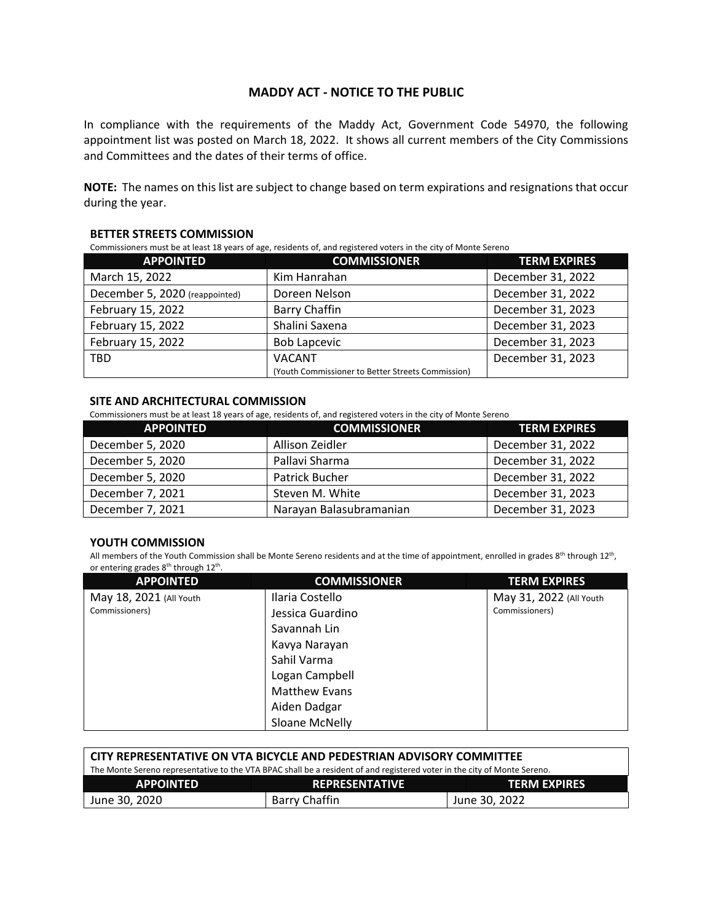## **MADDY ACT - NOTICE TO THE PUBLIC**

In compliance with the requirements of the Maddy Act, Government Code 54970, the following appointment list was posted on March 18, 2022. It shows all current members of the City Commissions and Committees and the dates of their terms of office.

**NOTE:** The names on this list are subject to change based on term expirations and resignations that occur during the year.

### **BETTER STREETS COMMISSION**

Commissioners must be at least 18 years of age, residents of, and registered voters in the city of Monte Sereno

| <b>APPOINTED</b>               | <b>COMMISSIONER</b>                               | <b>TERM EXPIRES</b> |
|--------------------------------|---------------------------------------------------|---------------------|
| March 15, 2022                 | Kim Hanrahan                                      | December 31, 2022   |
| December 5, 2020 (reappointed) | Doreen Nelson                                     | December 31, 2022   |
| February 15, 2022              | <b>Barry Chaffin</b>                              | December 31, 2023   |
| February 15, 2022              | Shalini Saxena                                    | December 31, 2023   |
| February 15, 2022              | <b>Bob Lapcevic</b>                               | December 31, 2023   |
| <b>TBD</b>                     | <b>VACANT</b>                                     | December 31, 2023   |
|                                | (Youth Commissioner to Better Streets Commission) |                     |

#### **SITE AND ARCHITECTURAL COMMISSION**

Commissioners must be at least 18 years of age, residents of, and registered voters in the city of Monte Sereno

| <b>APPOINTED</b> | <b>COMMISSIONER</b>     | <b>TERM EXPIRES</b> |
|------------------|-------------------------|---------------------|
| December 5, 2020 | Allison Zeidler         | December 31, 2022   |
| December 5, 2020 | Pallavi Sharma          | December 31, 2022   |
| December 5, 2020 | Patrick Bucher          | December 31, 2022   |
| December 7, 2021 | Steven M. White         | December 31, 2023   |
| December 7, 2021 | Narayan Balasubramanian | December 31, 2023   |

### **YOUTH COMMISSION**

All members of the Youth Commission shall be Monte Sereno residents and at the time of appointment, enrolled in grades 8<sup>th</sup> through 12<sup>th</sup>, or entering grades 8<sup>th</sup> through 12<sup>th</sup>.

| <b>APPOINTED</b>        | <b>COMMISSIONER</b>  | <b>TERM EXPIRES</b>     |
|-------------------------|----------------------|-------------------------|
| May 18, 2021 (All Youth | Ilaria Costello      | May 31, 2022 (All Youth |
| Commissioners)          | Jessica Guardino     | Commissioners)          |
|                         | Savannah Lin         |                         |
|                         | Kavya Narayan        |                         |
|                         | Sahil Varma          |                         |
|                         | Logan Campbell       |                         |
|                         | <b>Matthew Evans</b> |                         |
|                         | Aiden Dadgar         |                         |
|                         | Sloane McNelly       |                         |

| <b>CITY REPRESENTATIVE ON VTA BICYCLE AND PEDESTRIAN ADVISORY COMMITTEE</b>                                              |                       |                     |  |  |
|--------------------------------------------------------------------------------------------------------------------------|-----------------------|---------------------|--|--|
| The Monte Sereno representative to the VTA BPAC shall be a resident of and registered voter in the city of Monte Sereno. |                       |                     |  |  |
| <b>APPOINTED</b>                                                                                                         | <b>REPRESENTATIVE</b> | <b>TERM EXPIRES</b> |  |  |
| June 30, 2020                                                                                                            | Barry Chaffin         | June 30. 2022       |  |  |